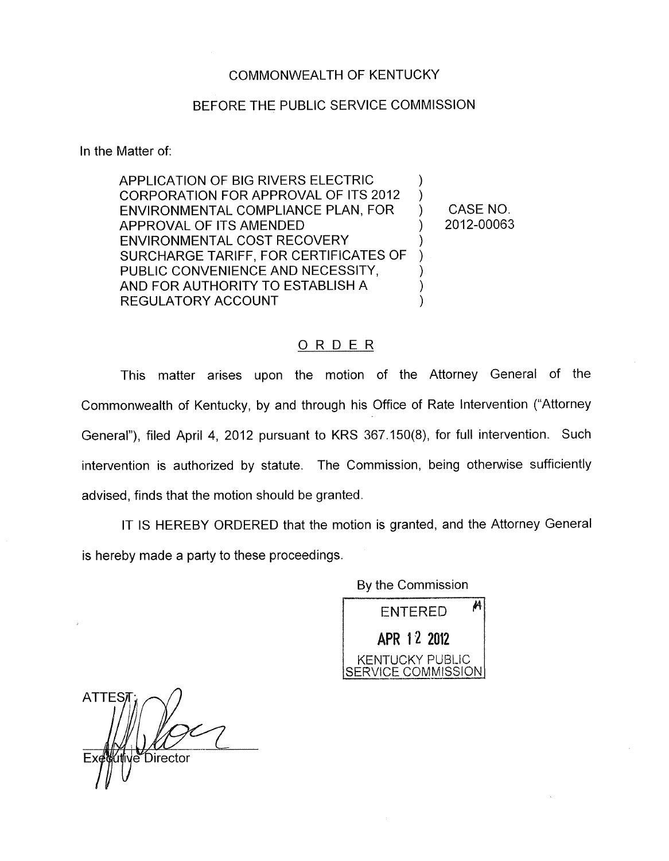## COMMONWEALTH OF KENTUCKY

## BEFORE THE PUBLIC SERVICE COMMISSION

In the Matter of:

APPLICATION OF BIG RIVERS ELECTRIC CORPORATION FOR APPROVAL OF ITS 2012 ENVIRONMENTAL COMPLIANCE PLAN, FOR APPROVAL OF ITS AMENDED ENVIRONMENTAL COST RECOVERY SURCHARGE TARIFF, FOR CERTIFICATES OF PUBLIC CONVENIENCE AND NECESSITY, AND FOR AUTHORITY TO ESTABLISH A REGULATORY ACCOUNT ) ) ) CASENO. )  $\sum_{i=1}^{n}$  $)$ ) ) ) 2012-00063

## ORDER

This matter arises upon the motion of the Attorney General of the Commonwealth of Kentucky, by and through his Office of Rate Intervention ("Attorney General"), filed April **4,** 2012 pursuant to KRS 367.150(8), for full intervention. Such intervention is authorized by statute. The Commission, being otherwise sufficiently advised, finds that the motion should be granted.

IT IS HEREBY ORDERED that the motion is granted, and the Attorney General is hereby made a party to these proceedings.

> By the Commission  $ENTERED$ <sup> $A$ </sup> **APR 12 2012** KENTUCKY PUBLIC SERVICE COMMISSION

**ATTES** e Director